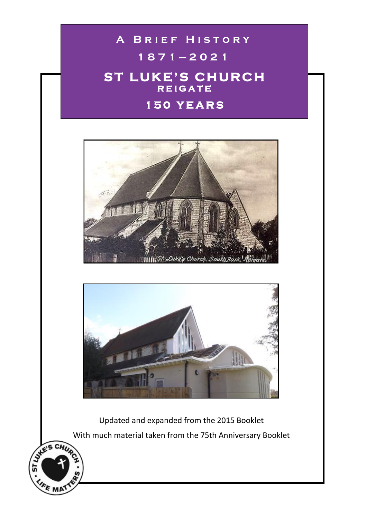# **A BRIEF HISTORY**

# **1 8 7 1 — 2 0 2 1**

# **ST LUKE'S CHURCH R E I G A T E**

# **1 5 0 Y E A R S**





Updated and expanded from the 2015 Booklet With much material taken from the 75th Anniversary Booklet

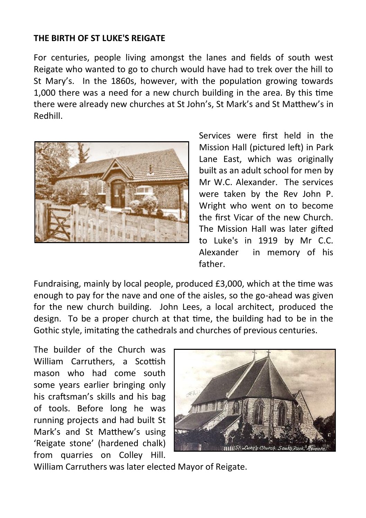#### **THE BIRTH OF ST LUKE'S REIGATE**

For centuries, people living amongst the lanes and fields of south west Reigate who wanted to go to church would have had to trek over the hill to St Mary's. In the 1860s, however, with the population growing towards 1,000 there was a need for a new church building in the area. By this time there were already new churches at St John's, St Mark's and St Matthew's in Redhill.



Services were first held in the Mission Hall (pictured left) in Park Lane East, which was originally built as an adult school for men by Mr W.C. Alexander. The services were taken by the Rev John P. Wright who went on to become the first Vicar of the new Church. The Mission Hall was later gifted to Luke's in 1919 by Mr C.C. Alexander in memory of his father.

Fundraising, mainly by local people, produced £3,000, which at the time was enough to pay for the nave and one of the aisles, so the go-ahead was given for the new church building. John Lees, a local architect, produced the design. To be a proper church at that time, the building had to be in the Gothic style, imitating the cathedrals and churches of previous centuries.

The builder of the Church was William Carruthers, a Scottish mason who had come south some years earlier bringing only his craftsman's skills and his bag of tools. Before long he was running projects and had built St Mark's and St Matthew's using 'Reigate stone' (hardened chalk) from quarries on Colley Hill.



William Carruthers was later elected Mayor of Reigate.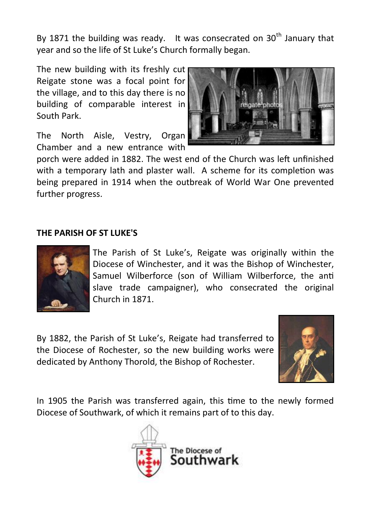By 1871 the building was ready. It was consecrated on  $30<sup>th</sup>$  January that year and so the life of St Luke's Church formally began.

The new building with its freshly cut Reigate stone was a focal point for the village, and to this day there is no building of comparable interest in South Park.

The North Aisle, Vestry, Organ Chamber and a new entrance with



porch were added in 1882. The west end of the Church was left unfinished with a temporary lath and plaster wall. A scheme for its completion was being prepared in 1914 when the outbreak of World War One prevented further progress.

### **THE PARISH OF ST LUKE'S**



The Parish of St Luke's, Reigate was originally within the Diocese of Winchester, and it was the Bishop of Winchester, Samuel Wilberforce (son of William Wilberforce, the anti slave trade campaigner), who consecrated the original Church in 1871.

By 1882, the Parish of St Luke's, Reigate had transferred to the Diocese of Rochester, so the new building works were dedicated by Anthony Thorold, the Bishop of Rochester.



In 1905 the Parish was transferred again, this time to the newly formed Diocese of Southwark, of which it remains part of to this day.

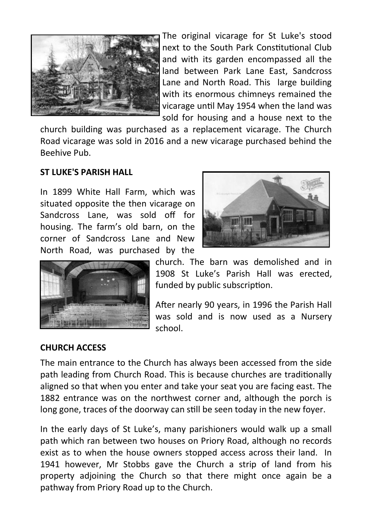

The original vicarage for St Luke's stood next to the South Park Constitutional Club and with its garden encompassed all the land between Park Lane East, Sandcross Lane and North Road. This large building with its enormous chimneys remained the vicarage until May 1954 when the land was sold for housing and a house next to the

church building was purchased as a replacement vicarage. The Church Road vicarage was sold in 2016 and a new vicarage purchased behind the Beehive Pub.

#### **ST LUKE'S PARISH HALL**

In 1899 White Hall Farm, which was situated opposite the then vicarage on Sandcross Lane, was sold off for housing. The farm's old barn, on the corner of Sandcross Lane and New North Road, was purchased by the





church. The barn was demolished and in 1908 St Luke's Parish Hall was erected, funded by public subscription.

After nearly 90 years, in 1996 the Parish Hall was sold and is now used as a Nursery school.

## **CHURCH ACCESS**

The main entrance to the Church has always been accessed from the side path leading from Church Road. This is because churches are traditionally aligned so that when you enter and take your seat you are facing east. The 1882 entrance was on the northwest corner and, although the porch is long gone, traces of the doorway can still be seen today in the new foyer.

In the early days of St Luke's, many parishioners would walk up a small path which ran between two houses on Priory Road, although no records exist as to when the house owners stopped access across their land. In 1941 however, Mr Stobbs gave the Church a strip of land from his property adjoining the Church so that there might once again be a pathway from Priory Road up to the Church.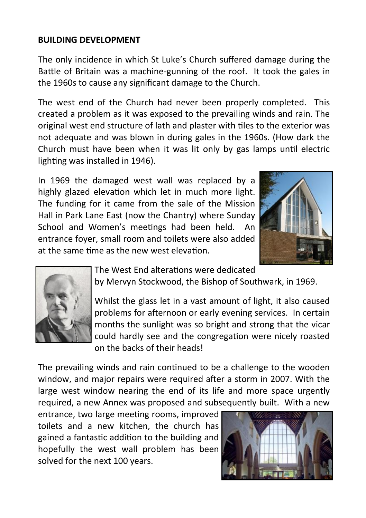## **BUILDING DEVELOPMENT**

The only incidence in which St Luke's Church suffered damage during the Battle of Britain was a machine-gunning of the roof. It took the gales in the 1960s to cause any significant damage to the Church.

The west end of the Church had never been properly completed. This created a problem as it was exposed to the prevailing winds and rain. The original west end structure of lath and plaster with tiles to the exterior was not adequate and was blown in during gales in the 1960s. (How dark the Church must have been when it was lit only by gas lamps until electric lighting was installed in 1946).

In 1969 the damaged west wall was replaced by a highly glazed elevation which let in much more light. The funding for it came from the sale of the Mission Hall in Park Lane East (now the Chantry) where Sunday School and Women's meetings had been held. An entrance foyer, small room and toilets were also added at the same time as the new west elevation.





The West End alterations were dedicated

by Mervyn Stockwood, the Bishop of Southwark, in 1969.

Whilst the glass let in a vast amount of light, it also caused problems for afternoon or early evening services. In certain months the sunlight was so bright and strong that the vicar could hardly see and the congregation were nicely roasted on the backs of their heads!

The prevailing winds and rain continued to be a challenge to the wooden window, and major repairs were required after a storm in 2007. With the large west window nearing the end of its life and more space urgently required, a new Annex was proposed and subsequently built. With a new

entrance, two large meeting rooms, improved toilets and a new kitchen, the church has gained a fantastic addition to the building and hopefully the west wall problem has been solved for the next 100 years.

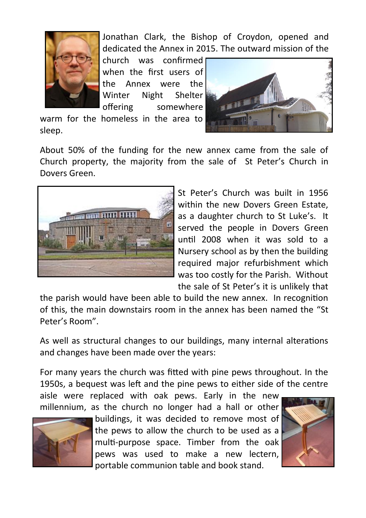

Jonathan Clark, the Bishop of Croydon, opened and dedicated the Annex in 2015. The outward mission of the

church was confirmed when the first users of the Annex were the Winter Night Shelter offering somewhere

warm for the homeless in the area to sleep.



About 50% of the funding for the new annex came from the sale of Church property, the majority from the sale of St Peter's Church in Dovers Green.



St Peter's Church was built in 1956 within the new Dovers Green Estate. as a daughter church to St Luke's. It served the people in Dovers Green until 2008 when it was sold to a Nursery school as by then the building required major refurbishment which was too costly for the Parish. Without the sale of St Peter's it is unlikely that

the parish would have been able to build the new annex. In recognition of this, the main downstairs room in the annex has been named the "St Peter's Room".

As well as structural changes to our buildings, many internal alterations and changes have been made over the years:

For many years the church was fitted with pine pews throughout. In the 1950s, a bequest was left and the pine pews to either side of the centre

aisle were replaced with oak pews. Early in the new millennium, as the church no longer had a hall or other



buildings, it was decided to remove most of the pews to allow the church to be used as a multi-purpose space. Timber from the oak pews was used to make a new lectern, portable communion table and book stand.

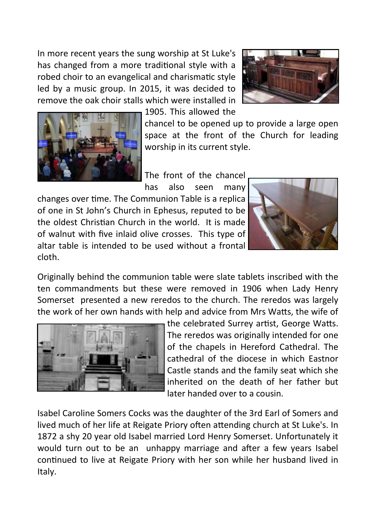In more recent years the sung worship at St Luke's has changed from a more traditional style with a robed choir to an evangelical and charismatic style led by a music group. In 2015, it was decided to remove the oak choir stalls which were installed in





1905. This allowed the

chancel to be opened up to provide a large open space at the front of the Church for leading worship in its current style.

The front of the chancel

has also seen many changes over time. The Communion Table is a replica of one in St John's Church in Ephesus, reputed to be the oldest Christian Church in the world. It is made of walnut with five inlaid olive crosses. This type of altar table is intended to be used without a frontal cloth.



Originally behind the communion table were slate tablets inscribed with the ten commandments but these were removed in 1906 when Lady Henry Somerset presented a new reredos to the church. The reredos was largely the work of her own hands with help and advice from Mrs Watts, the wife of



the celebrated Surrey artist, George Watts. The reredos was originally intended for one of the chapels in Hereford Cathedral. The cathedral of the diocese in which Eastnor Castle stands and the family seat which she inherited on the death of her father but later handed over to a cousin.

Isabel Caroline Somers Cocks was the daughter of the 3rd Earl of Somers and lived much of her life at Reigate Priory often attending church at St Luke's. In 1872 a shy 20 year old Isabel married Lord Henry Somerset. Unfortunately it would turn out to be an unhappy marriage and after a few years Isabel continued to live at Reigate Priory with her son while her husband lived in Italy.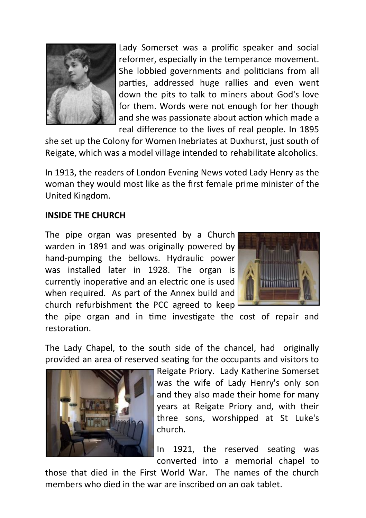

Lady Somerset was a prolific speaker and social reformer, especially in the temperance movement. She lobbied governments and politicians from all parties, addressed huge rallies and even went down the pits to talk to miners about God's love for them. Words were not enough for her though and she was passionate about action which made a real difference to the lives of real people. In 1895

she set up the Colony for Women Inebriates at Duxhurst, just south of Reigate, which was a model village intended to rehabilitate alcoholics.

In 1913, the readers of London Evening News voted Lady Henry as the woman they would most like as the first female prime minister of the United Kingdom.

#### **INSIDE THE CHURCH**

The pipe organ was presented by a Church warden in 1891 and was originally powered by hand-pumping the bellows. Hydraulic power was installed later in 1928. The organ is currently inoperative and an electric one is used when required. As part of the Annex build and church refurbishment the PCC agreed to keep



the pipe organ and in time investigate the cost of repair and restoration.

The Lady Chapel, to the south side of the chancel, had originally provided an area of reserved seating for the occupants and visitors to



Reigate Priory. Lady Katherine Somerset was the wife of Lady Henry's only son and they also made their home for many years at Reigate Priory and, with their three sons, worshipped at St Luke's church.

In 1921, the reserved seating was converted into a memorial chapel to

those that died in the First World War. The names of the church members who died in the war are inscribed on an oak tablet.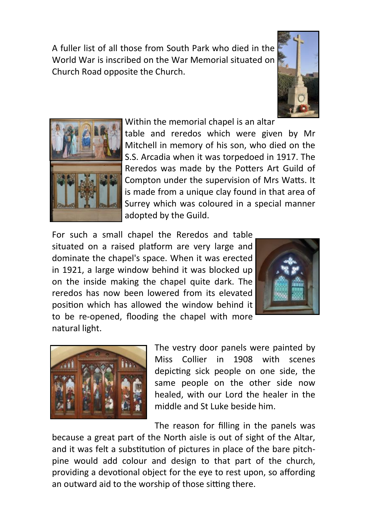A fuller list of all those from South Park who died in the World War is inscribed on the War Memorial situated on Church Road opposite the Church.





Within the memorial chapel is an altar

table and reredos which were given by Mr Mitchell in memory of his son, who died on the S.S. Arcadia when it was torpedoed in 1917. The Reredos was made by the Potters Art Guild of Compton under the supervision of Mrs Watts. It is made from a unique clay found in that area of Surrey which was coloured in a special manner adopted by the Guild.

For such a small chapel the Reredos and table situated on a raised platform are very large and dominate the chapel's space. When it was erected in 1921, a large window behind it was blocked up on the inside making the chapel quite dark. The reredos has now been lowered from its elevated position which has allowed the window behind it to be re-opened, flooding the chapel with more natural light.





The vestry door panels were painted by Miss Collier in 1908 with scenes depicting sick people on one side, the same people on the other side now healed, with our Lord the healer in the middle and St Luke beside him.

The reason for filling in the panels was

because a great part of the North aisle is out of sight of the Altar, and it was felt a substitution of pictures in place of the bare pitchpine would add colour and design to that part of the church, providing a devotional object for the eye to rest upon, so affording an outward aid to the worship of those sitting there.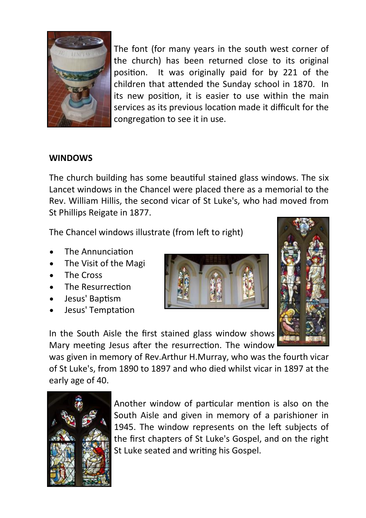

The font (for many years in the south west corner of the church) has been returned close to its original position. It was originally paid for by 221 of the children that attended the Sunday school in 1870. In its new position, it is easier to use within the main services as its previous location made it difficult for the congregation to see it in use.

#### **WINDOWS**

The church building has some beautiful stained glass windows. The six Lancet windows in the Chancel were placed there as a memorial to the Rev. William Hillis, the second vicar of St Luke's, who had moved from St Phillips Reigate in 1877.

The Chancel windows illustrate (from left to right)

- The Annunciation
- The Visit of the Magi
- The Cross
- The Resurrection
- Jesus' Baptism
- Jesus' Temptation





was given in memory of Rev.Arthur H.Murray, who was the fourth vicar of St Luke's, from 1890 to 1897 and who died whilst vicar in 1897 at the early age of 40.



Another window of particular mention is also on the South Aisle and given in memory of a parishioner in 1945. The window represents on the left subjects of the first chapters of St Luke's Gospel, and on the right St Luke seated and writing his Gospel.

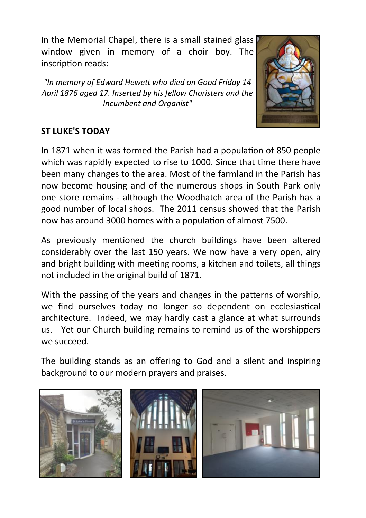In the Memorial Chapel, there is a small stained glass window given in memory of a choir boy. The inscription reads:

*"In memory of Edward Hewett who died on Good Friday 14 April 1876 aged 17. Inserted by his fellow Choristers and the Incumbent and Organist"*



## **ST LUKE'S TODAY**

In 1871 when it was formed the Parish had a population of 850 people which was rapidly expected to rise to 1000. Since that time there have been many changes to the area. Most of the farmland in the Parish has now become housing and of the numerous shops in South Park only one store remains - although the Woodhatch area of the Parish has a good number of local shops. The 2011 census showed that the Parish now has around 3000 homes with a population of almost 7500.

As previously mentioned the church buildings have been altered considerably over the last 150 years. We now have a very open, airy and bright building with meeting rooms, a kitchen and toilets, all things not included in the original build of 1871.

With the passing of the years and changes in the patterns of worship, we find ourselves today no longer so dependent on ecclesiastical architecture. Indeed, we may hardly cast a glance at what surrounds us. Yet our Church building remains to remind us of the worshippers we succeed.

The building stands as an offering to God and a silent and inspiring background to our modern prayers and praises.